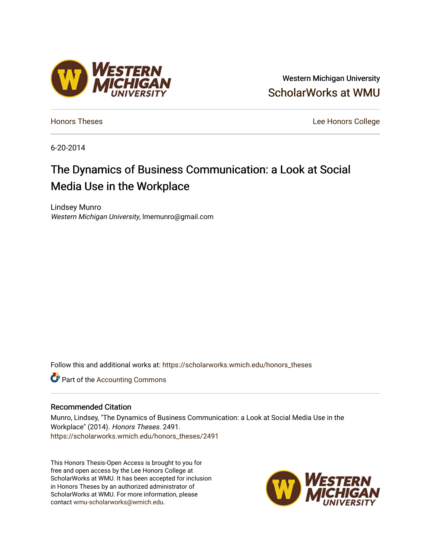## Western Michigan University [ScholarWorks at WMU](https://scholarworks.wmich.edu/)

[Honors Theses](https://scholarworks.wmich.edu/honors_theses) [Lee Honors College](https://scholarworks.wmich.edu/honors) 

6-20-2014

# The Dynamics of Business Communication: a Look at Social Media Use in the Workplace

Lindsey Munro Western Michigan University, lmemunro@gmail.com

Follow this and additional works at: [https://scholarworks.wmich.edu/honors\\_theses](https://scholarworks.wmich.edu/honors_theses?utm_source=scholarworks.wmich.edu%2Fhonors_theses%2F2491&utm_medium=PDF&utm_campaign=PDFCoverPages)

**C** Part of the [Accounting Commons](http://network.bepress.com/hgg/discipline/625?utm_source=scholarworks.wmich.edu%2Fhonors_theses%2F2491&utm_medium=PDF&utm_campaign=PDFCoverPages)

#### Recommended Citation

Munro, Lindsey, "The Dynamics of Business Communication: a Look at Social Media Use in the Workplace" (2014). Honors Theses. 2491. [https://scholarworks.wmich.edu/honors\\_theses/2491](https://scholarworks.wmich.edu/honors_theses/2491?utm_source=scholarworks.wmich.edu%2Fhonors_theses%2F2491&utm_medium=PDF&utm_campaign=PDFCoverPages) 

This Honors Thesis-Open Access is brought to you for free and open access by the Lee Honors College at ScholarWorks at WMU. It has been accepted for inclusion in Honors Theses by an authorized administrator of ScholarWorks at WMU. For more information, please contact [wmu-scholarworks@wmich.edu](mailto:wmu-scholarworks@wmich.edu).



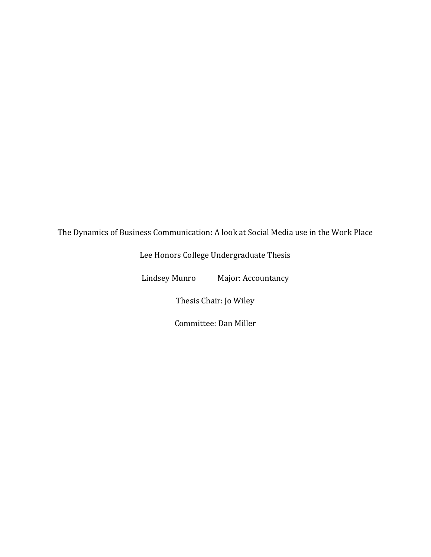The Dynamics of Business Communication: A look at Social Media use in the Work Place

Lee Honors College Undergraduate Thesis

Lindsey Munro Major: Accountancy

Thesis Chair: Jo Wiley

Committee: Dan Miller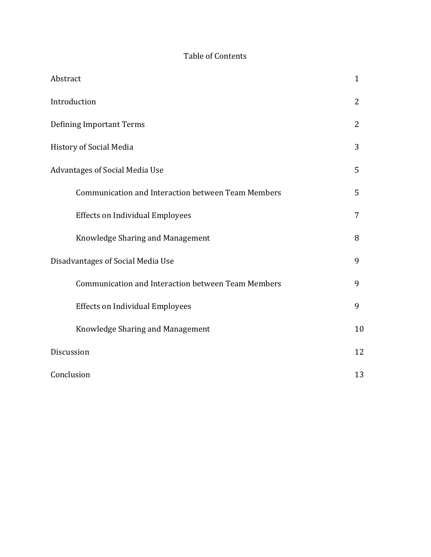### Table of Contents

| Abstract                                           | $\mathbf{1}$   |
|----------------------------------------------------|----------------|
| Introduction                                       | $\overline{2}$ |
| <b>Defining Important Terms</b>                    | 2              |
| History of Social Media                            | 3              |
| Advantages of Social Media Use                     | 5              |
| Communication and Interaction between Team Members | 5              |
| <b>Effects on Individual Employees</b>             | 7              |
| Knowledge Sharing and Management                   | 8              |
| Disadvantages of Social Media Use                  | 9              |
| Communication and Interaction between Team Members | 9              |
| <b>Effects on Individual Employees</b>             | 9              |
| Knowledge Sharing and Management                   | 10             |
| Discussion                                         | 12             |
| Conclusion                                         | 13             |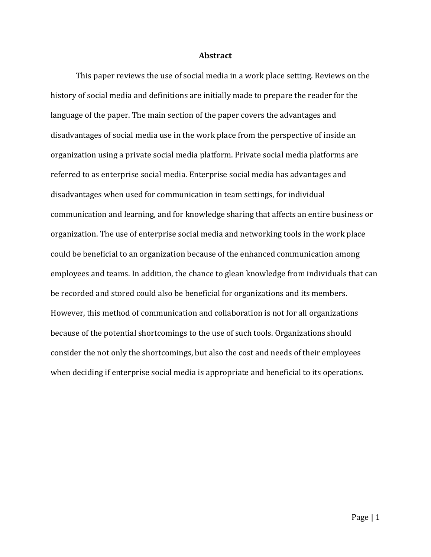#### **Abstract**

This paper reviews the use of social media in a work place setting. Reviews on the history of social media and definitions are initially made to prepare the reader for the language of the paper. The main section of the paper covers the advantages and disadvantages of social media use in the work place from the perspective of inside an organization using a private social media platform. Private social media platforms are referred to as enterprise social media. Enterprise social media has advantages and disadvantages when used for communication in team settings, for individual communication and learning, and for knowledge sharing that affects an entire business or organization. The use of enterprise social media and networking tools in the work place could be beneficial to an organization because of the enhanced communication among employees and teams. In addition, the chance to glean knowledge from individuals that can be recorded and stored could also be beneficial for organizations and its members. However, this method of communication and collaboration is not for all organizations because of the potential shortcomings to the use of such tools. Organizations should consider the not only the shortcomings, but also the cost and needs of their employees when deciding if enterprise social media is appropriate and beneficial to its operations.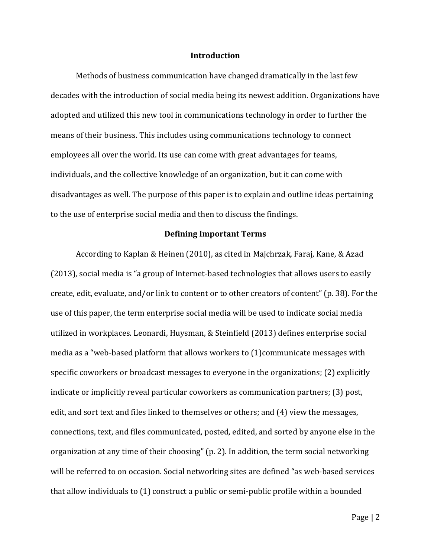#### **Introduction**

Methods of business communication have changed dramatically in the last few decades with the introduction of social media being its newest addition. Organizations have adopted and utilized this new tool in communications technology in order to further the means of their business. This includes using communications technology to connect employees all over the world. Its use can come with great advantages for teams, individuals, and the collective knowledge of an organization, but it can come with disadvantages as well. The purpose of this paper is to explain and outline ideas pertaining to the use of enterprise social media and then to discuss the findings.

#### **Defining Important Terms**

According to Kaplan & Heinen (2010), as cited in Majchrzak, Faraj, Kane, & Azad (2013), social media is "a group of Internet-based technologies that allows users to easily create, edit, evaluate, and/or link to content or to other creators of content" (p. 38). For the use of this paper, the term enterprise social media will be used to indicate social media utilized in workplaces. Leonardi, Huysman, & Steinfield (2013) defines enterprise social media as a "web-based platform that allows workers to (1)communicate messages with specific coworkers or broadcast messages to everyone in the organizations; (2) explicitly indicate or implicitly reveal particular coworkers as communication partners; (3) post, edit, and sort text and files linked to themselves or others; and (4) view the messages, connections, text, and files communicated, posted, edited, and sorted by anyone else in the organization at any time of their choosing" (p. 2). In addition, the term social networking will be referred to on occasion. Social networking sites are defined "as web-based services that allow individuals to (1) construct a public or semi-public profile within a bounded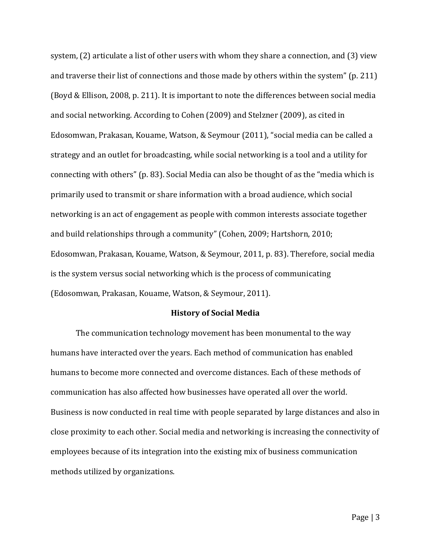system, (2) articulate a list of other users with whom they share a connection, and (3) view and traverse their list of connections and those made by others within the system" (p. 211) (Boyd & Ellison, 2008, p. 211). It is important to note the differences between social media and social networking. According to Cohen (2009) and Stelzner (2009), as cited in Edosomwan, Prakasan, Kouame, Watson, & Seymour (2011), "social media can be called a strategy and an outlet for broadcasting, while social networking is a tool and a utility for connecting with others" (p. 83). Social Media can also be thought of as the "media which is primarily used to transmit or share information with a broad audience, which social networking is an act of engagement as people with common interests associate together and build relationships through a community" (Cohen, 2009; Hartshorn, 2010; Edosomwan, Prakasan, Kouame, Watson, & Seymour, 2011, p. 83). Therefore, social media is the system versus social networking which is the process of communicating (Edosomwan, Prakasan, Kouame, Watson, & Seymour, 2011).

#### **History of Social Media**

The communication technology movement has been monumental to the way humans have interacted over the years. Each method of communication has enabled humans to become more connected and overcome distances. Each of these methods of communication has also affected how businesses have operated all over the world. Business is now conducted in real time with people separated by large distances and also in close proximity to each other. Social media and networking is increasing the connectivity of employees because of its integration into the existing mix of business communication methods utilized by organizations.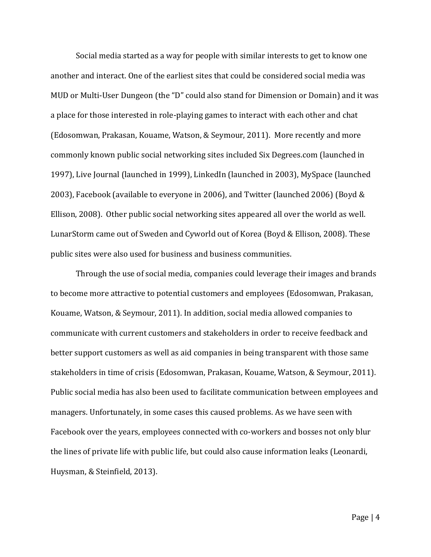Social media started as a way for people with similar interests to get to know one another and interact. One of the earliest sites that could be considered social media was MUD or Multi-User Dungeon (the "D" could also stand for Dimension or Domain) and it was a place for those interested in role-playing games to interact with each other and chat (Edosomwan, Prakasan, Kouame, Watson, & Seymour, 2011). More recently and more commonly known public social networking sites included Six Degrees.com (launched in 1997), Live Journal (launched in 1999), LinkedIn (launched in 2003), MySpace (launched 2003), Facebook (available to everyone in 2006), and Twitter (launched 2006) (Boyd & Ellison, 2008). Other public social networking sites appeared all over the world as well. LunarStorm came out of Sweden and Cyworld out of Korea (Boyd & Ellison, 2008). These public sites were also used for business and business communities.

Through the use of social media, companies could leverage their images and brands to become more attractive to potential customers and employees (Edosomwan, Prakasan, Kouame, Watson, & Seymour, 2011). In addition, social media allowed companies to communicate with current customers and stakeholders in order to receive feedback and better support customers as well as aid companies in being transparent with those same stakeholders in time of crisis (Edosomwan, Prakasan, Kouame, Watson, & Seymour, 2011). Public social media has also been used to facilitate communication between employees and managers. Unfortunately, in some cases this caused problems. As we have seen with Facebook over the years, employees connected with co-workers and bosses not only blur the lines of private life with public life, but could also cause information leaks (Leonardi, Huysman, & Steinfield, 2013).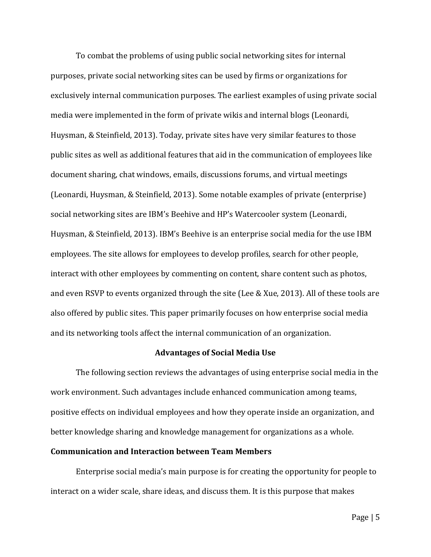To combat the problems of using public social networking sites for internal purposes, private social networking sites can be used by firms or organizations for exclusively internal communication purposes. The earliest examples of using private social media were implemented in the form of private wikis and internal blogs (Leonardi, Huysman, & Steinfield, 2013). Today, private sites have very similar features to those public sites as well as additional features that aid in the communication of employees like document sharing, chat windows, emails, discussions forums, and virtual meetings (Leonardi, Huysman, & Steinfield, 2013). Some notable examples of private (enterprise) social networking sites are IBM's Beehive and HP's Watercooler system (Leonardi, Huysman, & Steinfield, 2013). IBM's Beehive is an enterprise social media for the use IBM employees. The site allows for employees to develop profiles, search for other people, interact with other employees by commenting on content, share content such as photos, and even RSVP to events organized through the site (Lee & Xue, 2013). All of these tools are also offered by public sites. This paper primarily focuses on how enterprise social media and its networking tools affect the internal communication of an organization.

#### **Advantages of Social Media Use**

The following section reviews the advantages of using enterprise social media in the work environment. Such advantages include enhanced communication among teams, positive effects on individual employees and how they operate inside an organization, and better knowledge sharing and knowledge management for organizations as a whole.

#### **Communication and Interaction between Team Members**

Enterprise social media's main purpose is for creating the opportunity for people to interact on a wider scale, share ideas, and discuss them. It is this purpose that makes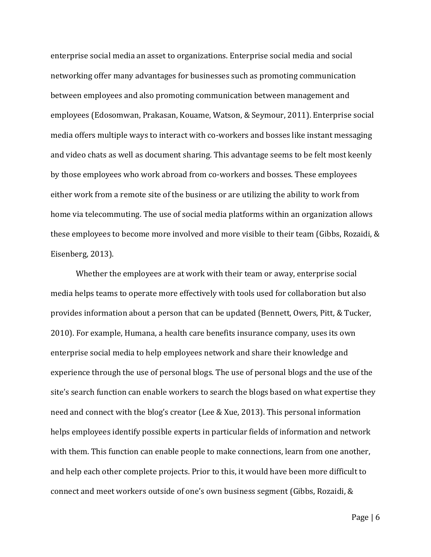enterprise social media an asset to organizations. Enterprise social media and social networking offer many advantages for businesses such as promoting communication between employees and also promoting communication between management and employees (Edosomwan, Prakasan, Kouame, Watson, & Seymour, 2011). Enterprise social media offers multiple ways to interact with co-workers and bosses like instant messaging and video chats as well as document sharing. This advantage seems to be felt most keenly by those employees who work abroad from co-workers and bosses. These employees either work from a remote site of the business or are utilizing the ability to work from home via telecommuting. The use of social media platforms within an organization allows these employees to become more involved and more visible to their team (Gibbs, Rozaidi, & Eisenberg, 2013).

Whether the employees are at work with their team or away, enterprise social media helps teams to operate more effectively with tools used for collaboration but also provides information about a person that can be updated (Bennett, Owers, Pitt, & Tucker, 2010). For example, Humana, a health care benefits insurance company, uses its own enterprise social media to help employees network and share their knowledge and experience through the use of personal blogs. The use of personal blogs and the use of the site's search function can enable workers to search the blogs based on what expertise they need and connect with the blog's creator (Lee & Xue, 2013). This personal information helps employees identify possible experts in particular fields of information and network with them. This function can enable people to make connections, learn from one another, and help each other complete projects. Prior to this, it would have been more difficult to connect and meet workers outside of one's own business segment (Gibbs, Rozaidi, &

Page | 6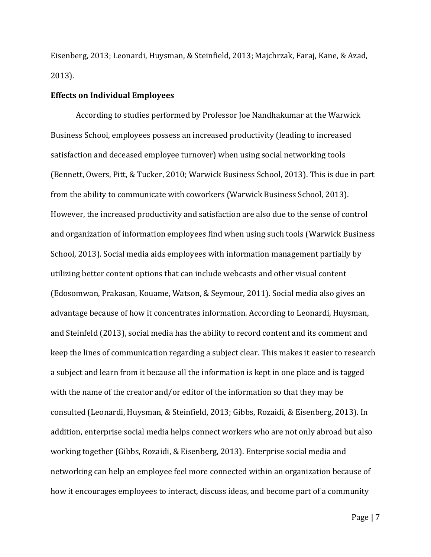Eisenberg, 2013; Leonardi, Huysman, & Steinfield, 2013; Majchrzak, Faraj, Kane, & Azad, 2013).

#### **Effects on Individual Employees**

According to studies performed by Professor Joe Nandhakumar at the Warwick Business School, employees possess an increased productivity (leading to increased satisfaction and deceased employee turnover) when using social networking tools (Bennett, Owers, Pitt, & Tucker, 2010; Warwick Business School, 2013). This is due in part from the ability to communicate with coworkers (Warwick Business School, 2013). However, the increased productivity and satisfaction are also due to the sense of control and organization of information employees find when using such tools (Warwick Business School, 2013). Social media aids employees with information management partially by utilizing better content options that can include webcasts and other visual content (Edosomwan, Prakasan, Kouame, Watson, & Seymour, 2011). Social media also gives an advantage because of how it concentrates information. According to Leonardi, Huysman, and Steinfeld (2013), social media has the ability to record content and its comment and keep the lines of communication regarding a subject clear. This makes it easier to research a subject and learn from it because all the information is kept in one place and is tagged with the name of the creator and/or editor of the information so that they may be consulted (Leonardi, Huysman, & Steinfield, 2013; Gibbs, Rozaidi, & Eisenberg, 2013). In addition, enterprise social media helps connect workers who are not only abroad but also working together (Gibbs, Rozaidi, & Eisenberg, 2013). Enterprise social media and networking can help an employee feel more connected within an organization because of how it encourages employees to interact, discuss ideas, and become part of a community

Page | 7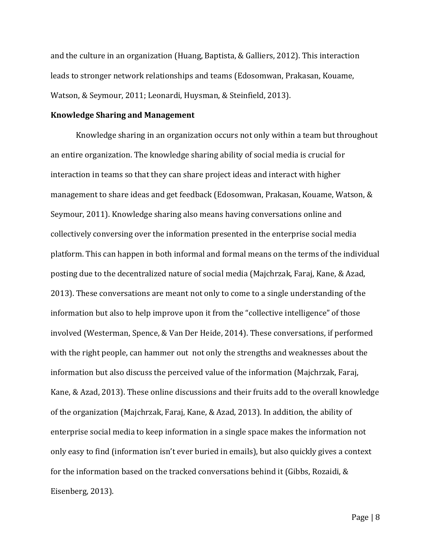and the culture in an organization (Huang, Baptista, & Galliers, 2012). This interaction leads to stronger network relationships and teams (Edosomwan, Prakasan, Kouame, Watson, & Seymour, 2011; Leonardi, Huysman, & Steinfield, 2013).

#### **Knowledge Sharing and Management**

Knowledge sharing in an organization occurs not only within a team but throughout an entire organization. The knowledge sharing ability of social media is crucial for interaction in teams so that they can share project ideas and interact with higher management to share ideas and get feedback (Edosomwan, Prakasan, Kouame, Watson, & Seymour, 2011). Knowledge sharing also means having conversations online and collectively conversing over the information presented in the enterprise social media platform. This can happen in both informal and formal means on the terms of the individual posting due to the decentralized nature of social media (Majchrzak, Faraj, Kane, & Azad, 2013). These conversations are meant not only to come to a single understanding of the information but also to help improve upon it from the "collective intelligence" of those involved (Westerman, Spence, & Van Der Heide, 2014). These conversations, if performed with the right people, can hammer out not only the strengths and weaknesses about the information but also discuss the perceived value of the information (Majchrzak, Faraj, Kane, & Azad, 2013). These online discussions and their fruits add to the overall knowledge of the organization (Majchrzak, Faraj, Kane, & Azad, 2013). In addition, the ability of enterprise social media to keep information in a single space makes the information not only easy to find (information isn't ever buried in emails), but also quickly gives a context for the information based on the tracked conversations behind it (Gibbs, Rozaidi, & Eisenberg, 2013).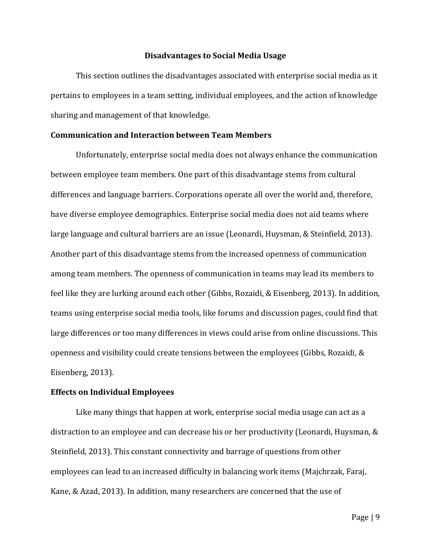#### **Disadvantages to Social Media Usage**

This section outlines the disadvantages associated with enterprise social media as it pertains to employees in a team setting, individual employees, and the action of knowledge sharing and management of that knowledge.

#### **Communication and Interaction between Team Members**

Unfortunately, enterprise social media does not always enhance the communication between employee team members. One part of this disadvantage stems from cultural differences and language barriers. Corporations operate all over the world and, therefore, have diverse employee demographics. Enterprise social media does not aid teams where large language and cultural barriers are an issue (Leonardi, Huysman, & Steinfield, 2013). Another part of this disadvantage stems from the increased openness of communication among team members. The openness of communication in teams may lead its members to feel like they are lurking around each other (Gibbs, Rozaidi, & Eisenberg, 2013). In addition, teams using enterprise social media tools, like forums and discussion pages, could find that large differences or too many differences in views could arise from online discussions. This openness and visibility could create tensions between the employees (Gibbs, Rozaidi, & Eisenberg, 2013).

#### **Effects on Individual Employees**

Like many things that happen at work, enterprise social media usage can act as a distraction to an employee and can decrease his or her productivity (Leonardi, Huysman, & Steinfield, 2013). This constant connectivity and barrage of questions from other employees can lead to an increased difficulty in balancing work items (Majchrzak, Faraj, Kane, & Azad, 2013). In addition, many researchers are concerned that the use of

Page | 9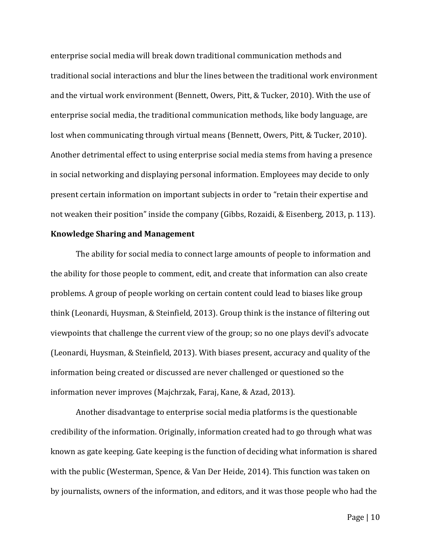enterprise social media will break down traditional communication methods and traditional social interactions and blur the lines between the traditional work environment and the virtual work environment (Bennett, Owers, Pitt, & Tucker, 2010). With the use of enterprise social media, the traditional communication methods, like body language, are lost when communicating through virtual means (Bennett, Owers, Pitt, & Tucker, 2010). Another detrimental effect to using enterprise social media stems from having a presence in social networking and displaying personal information. Employees may decide to only present certain information on important subjects in order to "retain their expertise and not weaken their position" inside the company (Gibbs, Rozaidi, & Eisenberg, 2013, p. 113).

#### **Knowledge Sharing and Management**

The ability for social media to connect large amounts of people to information and the ability for those people to comment, edit, and create that information can also create problems. A group of people working on certain content could lead to biases like group think (Leonardi, Huysman, & Steinfield, 2013). Group think is the instance of filtering out viewpoints that challenge the current view of the group; so no one plays devil's advocate (Leonardi, Huysman, & Steinfield, 2013). With biases present, accuracy and quality of the information being created or discussed are never challenged or questioned so the information never improves (Majchrzak, Faraj, Kane, & Azad, 2013).

Another disadvantage to enterprise social media platforms is the questionable credibility of the information. Originally, information created had to go through what was known as gate keeping. Gate keeping is the function of deciding what information is shared with the public (Westerman, Spence, & Van Der Heide, 2014). This function was taken on by journalists, owners of the information, and editors, and it was those people who had the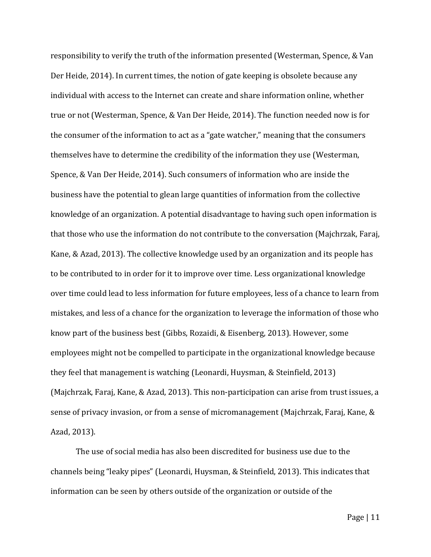responsibility to verify the truth of the information presented (Westerman, Spence, & Van Der Heide, 2014). In current times, the notion of gate keeping is obsolete because any individual with access to the Internet can create and share information online, whether true or not (Westerman, Spence, & Van Der Heide, 2014). The function needed now is for the consumer of the information to act as a "gate watcher," meaning that the consumers themselves have to determine the credibility of the information they use (Westerman, Spence, & Van Der Heide, 2014). Such consumers of information who are inside the business have the potential to glean large quantities of information from the collective knowledge of an organization. A potential disadvantage to having such open information is that those who use the information do not contribute to the conversation (Majchrzak, Faraj, Kane, & Azad, 2013). The collective knowledge used by an organization and its people has to be contributed to in order for it to improve over time. Less organizational knowledge over time could lead to less information for future employees, less of a chance to learn from mistakes, and less of a chance for the organization to leverage the information of those who know part of the business best (Gibbs, Rozaidi, & Eisenberg, 2013). However, some employees might not be compelled to participate in the organizational knowledge because they feel that management is watching (Leonardi, Huysman, & Steinfield, 2013) (Majchrzak, Faraj, Kane, & Azad, 2013). This non-participation can arise from trust issues, a sense of privacy invasion, or from a sense of micromanagement (Majchrzak, Faraj, Kane, & Azad, 2013).

The use of social media has also been discredited for business use due to the channels being "leaky pipes" (Leonardi, Huysman, & Steinfield, 2013). This indicates that information can be seen by others outside of the organization or outside of the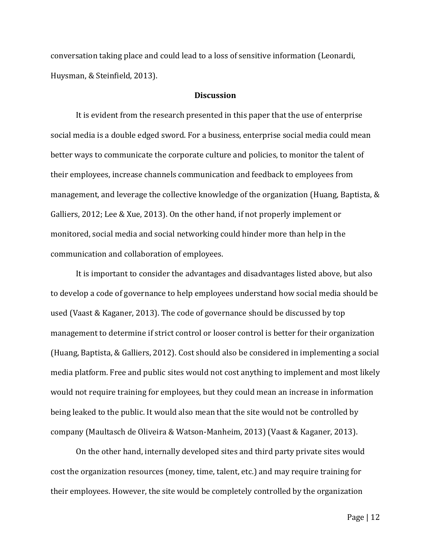conversation taking place and could lead to a loss of sensitive information (Leonardi, Huysman, & Steinfield, 2013).

#### **Discussion**

It is evident from the research presented in this paper that the use of enterprise social media is a double edged sword. For a business, enterprise social media could mean better ways to communicate the corporate culture and policies, to monitor the talent of their employees, increase channels communication and feedback to employees from management, and leverage the collective knowledge of the organization (Huang, Baptista, & Galliers, 2012; Lee & Xue, 2013). On the other hand, if not properly implement or monitored, social media and social networking could hinder more than help in the communication and collaboration of employees.

It is important to consider the advantages and disadvantages listed above, but also to develop a code of governance to help employees understand how social media should be used (Vaast & Kaganer, 2013). The code of governance should be discussed by top management to determine if strict control or looser control is better for their organization (Huang, Baptista, & Galliers, 2012). Cost should also be considered in implementing a social media platform. Free and public sites would not cost anything to implement and most likely would not require training for employees, but they could mean an increase in information being leaked to the public. It would also mean that the site would not be controlled by company (Maultasch de Oliveira & Watson-Manheim, 2013) (Vaast & Kaganer, 2013).

On the other hand, internally developed sites and third party private sites would cost the organization resources (money, time, talent, etc.) and may require training for their employees. However, the site would be completely controlled by the organization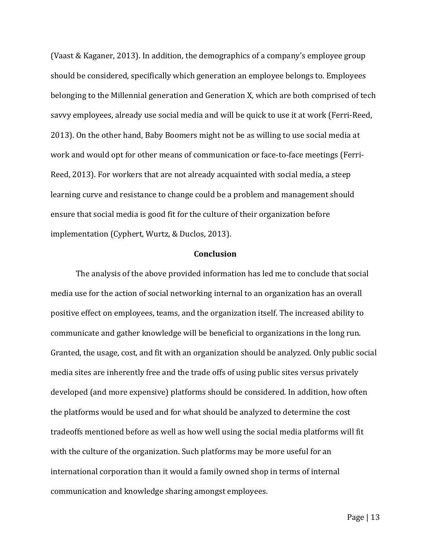(Vaast & Kaganer, 2013). In addition, the demographics of a company's employee group should be considered, specifically which generation an employee belongs to. Employees belonging to the Millennial generation and Generation X, which are both comprised of tech savvy employees, already use social media and will be quick to use it at work (Ferri-Reed, 2013). On the other hand, Baby Boomers might not be as willing to use social media at work and would opt for other means of communication or face-to-face meetings (Ferri-Reed, 2013). For workers that are not already acquainted with social media, a steep learning curve and resistance to change could be a problem and management should ensure that social media is good fit for the culture of their organization before implementation (Cyphert, Wurtz, & Duclos, 2013).

#### **Conclusion**

The analysis of the above provided information has led me to conclude that social media use for the action of social networking internal to an organization has an overall positive effect on employees, teams, and the organization itself. The increased ability to communicate and gather knowledge will be beneficial to organizations in the long run. Granted, the usage, cost, and fit with an organization should be analyzed. Only public social media sites are inherently free and the trade offs of using public sites versus privately developed (and more expensive) platforms should be considered. In addition, how often the platforms would be used and for what should be analyzed to determine the cost tradeoffs mentioned before as well as how well using the social media platforms will fit with the culture of the organization. Such platforms may be more useful for an international corporation than it would a family owned shop in terms of internal communication and knowledge sharing amongst employees.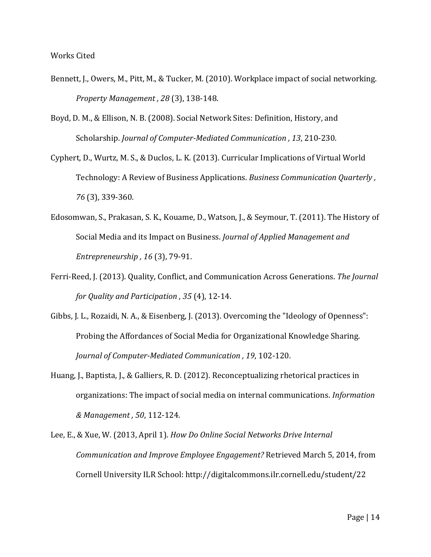- Bennett, J., Owers, M., Pitt, M., & Tucker, M. (2010). Workplace impact of social networking. *Property Management , 28* (3), 138-148.
- Boyd, D. M., & Ellison, N. B. (2008). Social Network Sites: Definition, History, and Scholarship. *Journal of Computer-Mediated Communication , 13*, 210-230.
- Cyphert, D., Wurtz, M. S., & Duclos, L. K. (2013). Curricular Implications of Virtual World Technology: A Review of Business Applications. *Business Communication Quarterly , 76* (3), 339-360.
- Edosomwan, S., Prakasan, S. K., Kouame, D., Watson, J., & Seymour, T. (2011). The History of Social Media and its Impact on Business. *Journal of Applied Management and Entrepreneurship , 16* (3), 79-91.
- Ferri-Reed, J. (2013). Quality, Conflict, and Communication Across Generations. *The Journal for Quality and Participation , 35* (4), 12-14.
- Gibbs, J. L., Rozaidi, N. A., & Eisenberg, J. (2013). Overcoming the "Ideology of Openness": Probing the Affordances of Social Media for Organizational Knowledge Sharing. *Journal of Computer-Mediated Communication , 19*, 102-120.
- Huang, J., Baptista, J., & Galliers, R. D. (2012). Reconceptualizing rhetorical practices in organizations: The impact of social media on internal communications. *Information & Management , 50*, 112-124.
- Lee, E., & Xue, W. (2013, April 1). *How Do Online Social Networks Drive Internal Communication and Improve Employee Engagement?* Retrieved March 5, 2014, from Cornell University ILR School: http://digitalcommons.ilr.cornell.edu/student/22